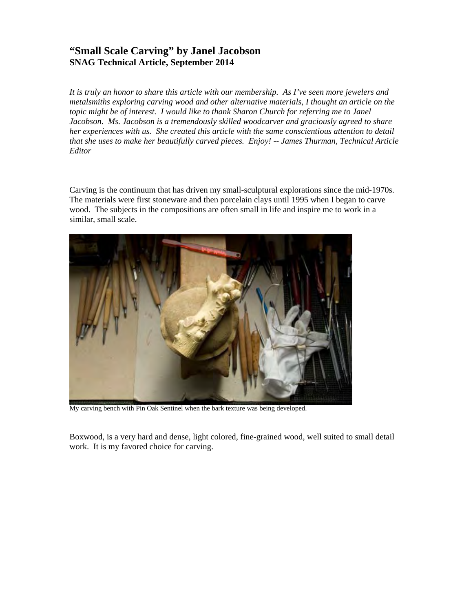## **"Small Scale Carving" by Janel Jacobson SNAG Technical Article, September 2014**

*It is truly an honor to share this article with our membership. As I've seen more jewelers and metalsmiths exploring carving wood and other alternative materials, I thought an article on the topic might be of interest. I would like to thank Sharon Church for referring me to Janel Jacobson. Ms. Jacobson is a tremendously skilled woodcarver and graciously agreed to share her experiences with us. She created this article with the same conscientious attention to detail that she uses to make her beautifully carved pieces. Enjoy! -- James Thurman, Technical Article Editor* 

Carving is the continuum that has driven my small-sculptural explorations since the mid-1970s. The materials were first stoneware and then porcelain clays until 1995 when I began to carve wood. The subjects in the compositions are often small in life and inspire me to work in a similar, small scale.



My carving bench with Pin Oak Sentinel when the bark texture was being developed.

Boxwood, is a very hard and dense, light colored, fine-grained wood, well suited to small detail work. It is my favored choice for carving.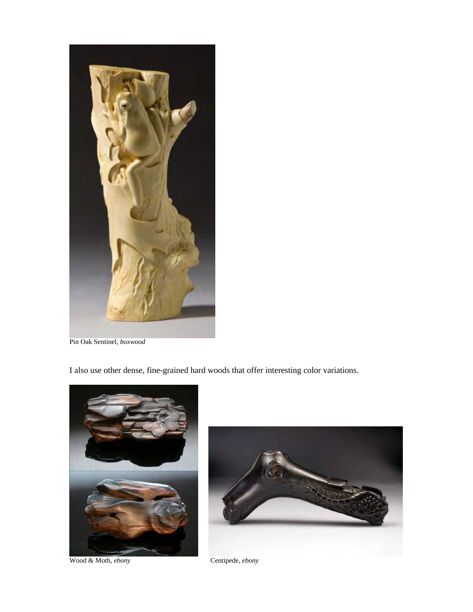

Pin Oak Sentinel, *boxwood*

I also use other dense, fine-grained hard woods that offer interesting color variations.



Wood & Moth, *ebony* Centipede, *ebony*

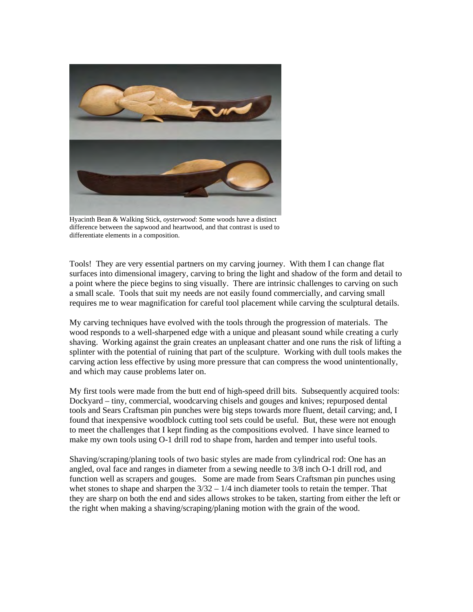

Hyacinth Bean & Walking Stick, *oysterwood*: Some woods have a distinct difference between the sapwood and heartwood, and that contrast is used to differentiate elements in a composition.

Tools! They are very essential partners on my carving journey. With them I can change flat surfaces into dimensional imagery, carving to bring the light and shadow of the form and detail to a point where the piece begins to sing visually. There are intrinsic challenges to carving on such a small scale. Tools that suit my needs are not easily found commercially, and carving small requires me to wear magnification for careful tool placement while carving the sculptural details.

My carving techniques have evolved with the tools through the progression of materials. The wood responds to a well-sharpened edge with a unique and pleasant sound while creating a curly shaving. Working against the grain creates an unpleasant chatter and one runs the risk of lifting a splinter with the potential of ruining that part of the sculpture. Working with dull tools makes the carving action less effective by using more pressure that can compress the wood unintentionally, and which may cause problems later on.

My first tools were made from the butt end of high-speed drill bits. Subsequently acquired tools: Dockyard – tiny, commercial, woodcarving chisels and gouges and knives; repurposed dental tools and Sears Craftsman pin punches were big steps towards more fluent, detail carving; and, I found that inexpensive woodblock cutting tool sets could be useful. But, these were not enough to meet the challenges that I kept finding as the compositions evolved. I have since learned to make my own tools using O-1 drill rod to shape from, harden and temper into useful tools.

Shaving/scraping/planing tools of two basic styles are made from cylindrical rod: One has an angled, oval face and ranges in diameter from a sewing needle to 3/8 inch O-1 drill rod, and function well as scrapers and gouges. Some are made from Sears Craftsman pin punches using whet stones to shape and sharpen the  $3/32 - 1/4$  inch diameter tools to retain the temper. That they are sharp on both the end and sides allows strokes to be taken, starting from either the left or the right when making a shaving/scraping/planing motion with the grain of the wood.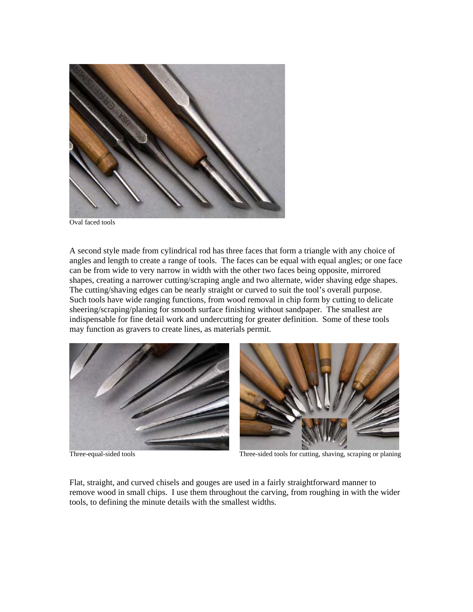

A second style made from cylindrical rod has three faces that form a triangle with any choice of angles and length to create a range of tools. The faces can be equal with equal angles; or one face can be from wide to very narrow in width with the other two faces being opposite, mirrored shapes, creating a narrower cutting/scraping angle and two alternate, wider shaving edge shapes. The cutting/shaving edges can be nearly straight or curved to suit the tool's overall purpose. Such tools have wide ranging functions, from wood removal in chip form by cutting to delicate sheering/scraping/planing for smooth surface finishing without sandpaper. The smallest are indispensable for fine detail work and undercutting for greater definition. Some of these tools may function as gravers to create lines, as materials permit.





Three-equal-sided tools Three-sided tools for cutting, shaving, scraping or planing

Flat, straight, and curved chisels and gouges are used in a fairly straightforward manner to remove wood in small chips. I use them throughout the carving, from roughing in with the wider tools, to defining the minute details with the smallest widths.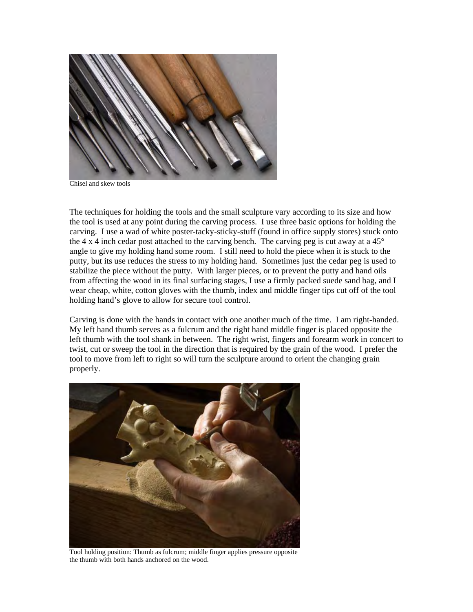

Chisel and skew tools

The techniques for holding the tools and the small sculpture vary according to its size and how the tool is used at any point during the carving process. I use three basic options for holding the carving. I use a wad of white poster-tacky-sticky-stuff (found in office supply stores) stuck onto the 4 x 4 inch cedar post attached to the carving bench. The carving peg is cut away at a  $45^{\circ}$ angle to give my holding hand some room. I still need to hold the piece when it is stuck to the putty, but its use reduces the stress to my holding hand. Sometimes just the cedar peg is used to stabilize the piece without the putty. With larger pieces, or to prevent the putty and hand oils from affecting the wood in its final surfacing stages, I use a firmly packed suede sand bag, and I wear cheap, white, cotton gloves with the thumb, index and middle finger tips cut off of the tool holding hand's glove to allow for secure tool control.

Carving is done with the hands in contact with one another much of the time. I am right-handed. My left hand thumb serves as a fulcrum and the right hand middle finger is placed opposite the left thumb with the tool shank in between. The right wrist, fingers and forearm work in concert to twist, cut or sweep the tool in the direction that is required by the grain of the wood. I prefer the tool to move from left to right so will turn the sculpture around to orient the changing grain properly.



Tool holding position: Thumb as fulcrum; middle finger applies pressure opposite the thumb with both hands anchored on the wood.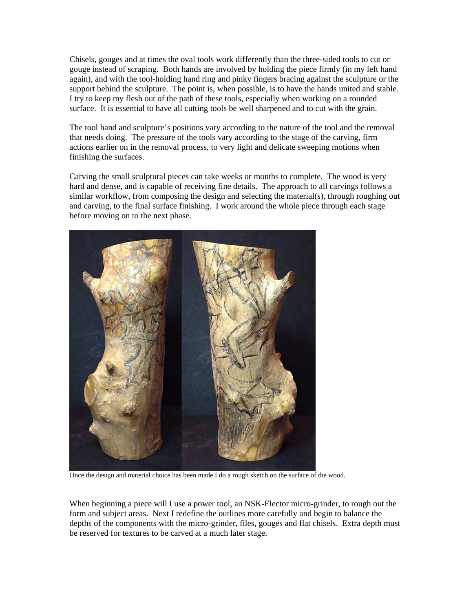Chisels, gouges and at times the oval tools work differently than the three-sided tools to cut or gouge instead of scraping. Both hands are involved by holding the piece firmly (in my left hand again), and with the tool-holding hand ring and pinky fingers bracing against the sculpture or the support behind the sculpture. The point is, when possible, is to have the hands united and stable. I try to keep my flesh out of the path of these tools, especially when working on a rounded surface. It is essential to have all cutting tools be well sharpened and to cut with the grain.

The tool hand and sculpture's positions vary according to the nature of the tool and the removal that needs doing. The pressure of the tools vary according to the stage of the carving, firm actions earlier on in the removal process, to very light and delicate sweeping motions when finishing the surfaces.

Carving the small sculptural pieces can take weeks or months to complete. The wood is very hard and dense, and is capable of receiving fine details. The approach to all carvings follows a similar workflow, from composing the design and selecting the material(s), through roughing out and carving, to the final surface finishing. I work around the whole piece through each stage before moving on to the next phase.



Once the design and material choice has been made I do a rough sketch on the surface of the wood.

When beginning a piece will I use a power tool, an NSK-Elector micro-grinder, to rough out the form and subject areas. Next I redefine the outlines more carefully and begin to balance the depths of the components with the micro-grinder, files, gouges and flat chisels. Extra depth must be reserved for textures to be carved at a much later stage.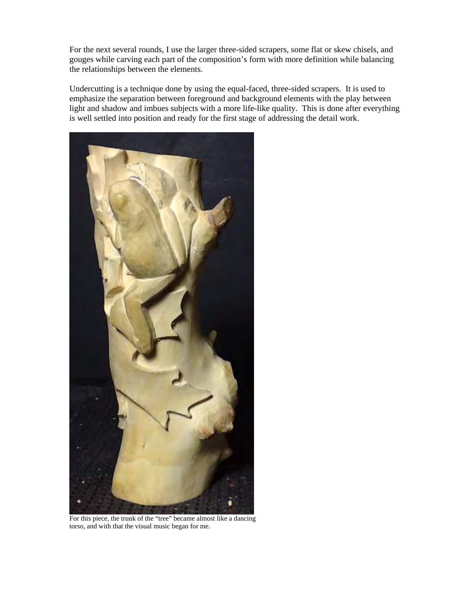For the next several rounds, I use the larger three-sided scrapers, some flat or skew chisels, and gouges while carving each part of the composition's form with more definition while balancing the relationships between the elements.

Undercutting is a technique done by using the equal-faced, three-sided scrapers. It is used to emphasize the separation between foreground and background elements with the play between light and shadow and imbues subjects with a more life-like quality. This is done after everything is well settled into position and ready for the first stage of addressing the detail work.



For this piece, the trunk of the "tree" became almost like a dancing torso, and with that the visual music began for me.